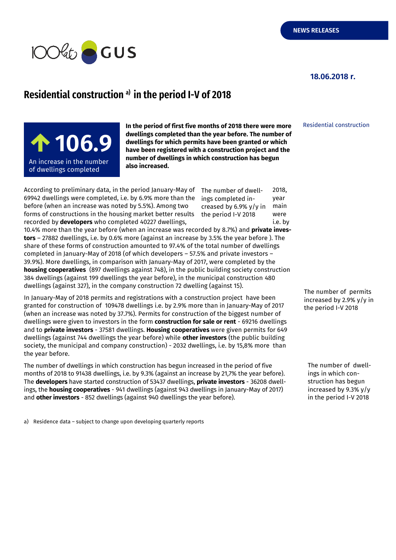

## **18.06.2018 r.**

## **Residential construction a) in the period I-V of 2018**

**100,5** <sup>9</sup>**106.9** An increase in the number  $\qquad$ of dwellings completed  $\qquad$ 

**In the period of first five months of 2018 there were more dwellings completed than the year before. The number of dwellings for which permits have been granted or which have been registered with a construction project and the number of dwellings in which construction has begun also increased.**

According to preliminary data, in the period January-May of  $\;$  The number of dwell-  $\;$  2018, 69942 dwellings were completed, i.e. by 6.9% more than the  $\frac{1}{2}$  ings completed inbefore (when an increase was noted by 5.5%). Among two creased by 6.9%  $v/v$  in main forms of constructions in the housing market better results the period I-V 2018 were recorded by **developers** who completed 40227 dwellings, i.e. by

ings completed increased by 6.9% y/y in the period I-V 2018

10.4% more than the year before (when an increase was recorded by 8.7%) and **private investors** – 27882 dwellings, i.e. by 0.6% more (against an increase by 3.5% the year before ). The share of these forms of construction amounted to 97.4% of the total number of dwellings completed in January-May of 2018 (of which developers – 57.5% and private investors – 39.9%). More dwellings, in comparison with January-May of 2017, were completed by the **housing cooperatives** (897 dwellings against 748), in the public building society construction 384 dwellings (against 199 dwellings the year before), in the municipal construction 480 dwellings (against 327), in the company construction 72 dwelling (against 15).

In January-May of 2018 permits and registrations with a construction project have been granted for construction of 109478 dwellings i.e. by 2.9% more than in January-May of 2017 (when an increase was noted by 37.7%). Permits for construction of the biggest number of dwellings were given to investors in the form **construction for sale or rent** - 69216 dwellings and to **private investors** - 37581 dwellings. **Housing cooperatives** were given permits for 649 dwellings (against 744 dwellings the year before) while **other investors** (the public building society, the municipal and company construction) - 2032 dwellings, i.e. by 15,8% more than the year before.

The number of dwellings in which construction has begun increased in the period of five months of 2018 to 91438 dwellings, i.e. by 9.3% (against an increase by 21,7% the year before). The **developers** have started construction of 53437 dwellings, **private investors** - 36208 dwellings, the **housing cooperatives** - 941 dwellings (against 943 dwellings in January-May of 2017) and **other investors** - 852 dwellings (against 940 dwellings the year before).

a) Residence data – subject to change upon developing quarterly reports

Residential construction

The number of permits increased by 2.9% y/y in the period I-V 2018

The number of dwellings in which construction has begun increased by 9.3% y/y in the period I-V 2018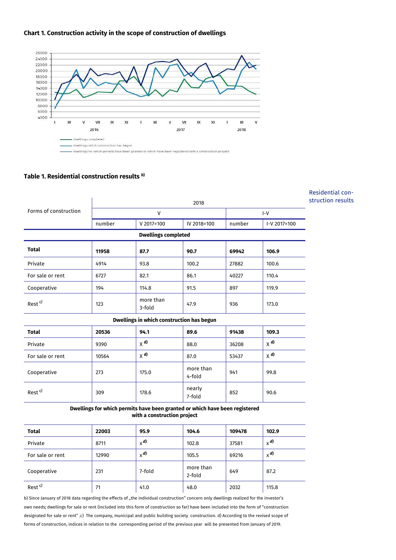



## **Table 1. Residential construction results** *<sup>b</sup>***)**

|                                                                                                            |              |                     |                     |        |                   | Residential con- |  |  |
|------------------------------------------------------------------------------------------------------------|--------------|---------------------|---------------------|--------|-------------------|------------------|--|--|
| Forms of construction                                                                                      |              | struction results   |                     |        |                   |                  |  |  |
|                                                                                                            | $\mathsf{V}$ |                     |                     | $I-V$  |                   |                  |  |  |
|                                                                                                            | number       | $V 2017 = 100$      | IV 2018=100         | number | I-V 2017=100      |                  |  |  |
| <b>Dwellings completed</b>                                                                                 |              |                     |                     |        |                   |                  |  |  |
| <b>Total</b>                                                                                               | 11958        | 87.7                | 90.7                | 69942  | 106.9             |                  |  |  |
| Private                                                                                                    | 4914         | 93.8                | 100.2               | 27882  | 100.6             |                  |  |  |
| For sale or rent                                                                                           | 6727         | 82.1                | 86.1                | 40227  | 110.4             |                  |  |  |
| Cooperative                                                                                                | 194          | 114.8               | 91.5                | 897    | 119.9             |                  |  |  |
| Rest <sup>c)</sup>                                                                                         | 123          | more than<br>3-fold | 47.9                | 936    | 173.0             |                  |  |  |
| Dwellings in which construction has begun                                                                  |              |                     |                     |        |                   |                  |  |  |
| <b>Total</b>                                                                                               | 20536        | 94.1                | 89.6                | 91438  | 109.3             |                  |  |  |
| Private                                                                                                    | 9390         | $X$ <sup>d)</sup>   | 88.0                | 36208  | $X$ <sup>d)</sup> |                  |  |  |
| For sale or rent                                                                                           | 10564        | $X$ <sup>d)</sup>   | 87.0                | 53437  | $X$ <sup>d)</sup> |                  |  |  |
| Cooperative                                                                                                | 273          | 175.0               | more than<br>4-fold | 941    | 99.8              |                  |  |  |
| Rest <sup>c)</sup>                                                                                         | 309          | 178.6               | nearly<br>7-fold    | 852    | 90.6              |                  |  |  |
| Dwellings for which permits have been granted or which have been registered<br>with a construction project |              |                     |                     |        |                   |                  |  |  |

| <b>Total</b>       | 22003 | 95.9    | 104.6               | 109478 | 102.9   |
|--------------------|-------|---------|---------------------|--------|---------|
| Private            | 8711  | $x^{d}$ | 102.8               | 37581  | $x^{d}$ |
| For sale or rent   | 12990 | $x^{d}$ | 105.5               | 69216  | $x^{d}$ |
| Cooperative        | 231   | 7-fold  | more than<br>2-fold | 649    | 87.2    |
| Rest <sup>c)</sup> | 71    | 41.0    | 48.0                | 2032   | 115.8   |

b) Since January of 2018 data regarding the effects of "the individual construction" concern only dwellings realized for the investor's own needs; dwellings for sale or rent (included into this form of construction so far) have been included into the form of "construction designated for sale or rent" .c) The company, municipal and public building society construction. d) According to the revised scope of forms of construction, indices in relation to the corresponding period of the previous year will be presented from January of 2019.